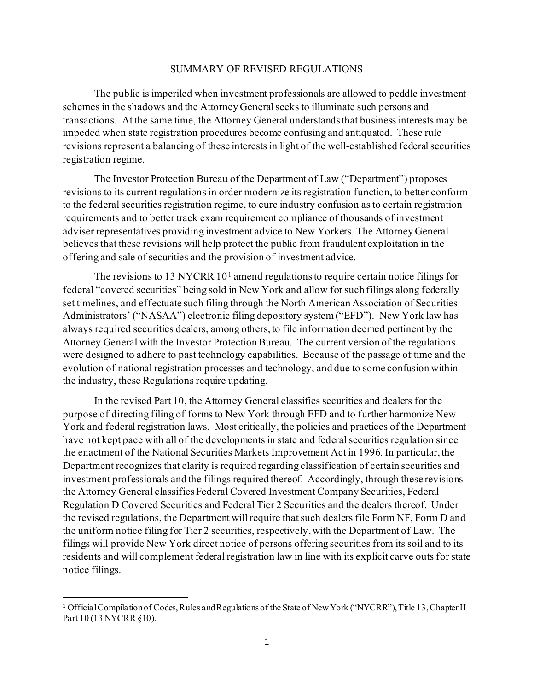## SUMMARY OF REVISED REGULATIONS

The public is imperiled when investment professionals are allowed to peddle investment schemes in the shadows and the Attorney General seeks to illuminate such persons and transactions. At the same time, the Attorney General understands that business interests may be impeded when state registration procedures become confusing and antiquated. These rule revisions represent a balancing of these interests in light of the well-established federal securities registration regime.

The Investor Protection Bureau of the Department of Law ("Department") proposes revisions to its current regulations in order modernize its registration function, to better conform to the federal securities registration regime, to cure industry confusion as to certain registration requirements and to better track exam requirement compliance of thousands of investment adviser representatives providing investment advice to New Yorkers. The Attorney General believes that these revisions will help protect the public from fraudulent exploitation in the offering and sale of securities and the provision of investment advice.

The revisions to [1](#page-0-0)3 NYCRR  $10<sup>1</sup>$  amend regulations to require certain notice filings for federal "covered securities" being sold in New York and allow for such filings along federally set timelines, and effectuate such filing through the North American Association of Securities Administrators' ("NASAA") electronic filing depository system ("EFD"). New York law has always required securities dealers, among others, to file information deemed pertinent by the Attorney General with the Investor Protection Bureau. The current version of the regulations were designed to adhere to past technology capabilities. Because of the passage of time and the evolution of national registration processes and technology, and due to some confusion within the industry, these Regulations require updating.

In the revised Part 10, the Attorney General classifies securities and dealers for the purpose of directing filing of forms to New York through EFD and to further harmonize New York and federal registration laws. Most critically, the policies and practices of the Department have not kept pace with all of the developments in state and federal securities regulation since the enactment of the National Securities Markets Improvement Act in 1996. In particular, the Department recognizes that clarity is required regarding classification of certain securities and investment professionals and the filings required thereof. Accordingly, through these revisions the Attorney General classifies Federal Covered Investment Company Securities, Federal Regulation D Covered Securities and Federal Tier 2 Securities and the dealers thereof. Under the revised regulations, the Department will require that such dealers file Form NF, Form D and the uniform notice filing for Tier 2 securities, respectively, with the Department of Law. The filings will provide New York direct notice of persons offering securities from its soil and to its residents and will complement federal registration law in line with its explicit carve outs for state notice filings.

<span id="page-0-0"></span><sup>1</sup> Official Compilation of Codes, Rules and Regulations of the State of New York ("NYCRR"), Title 13, Chapter II Part 10 (13 NYCRR §10).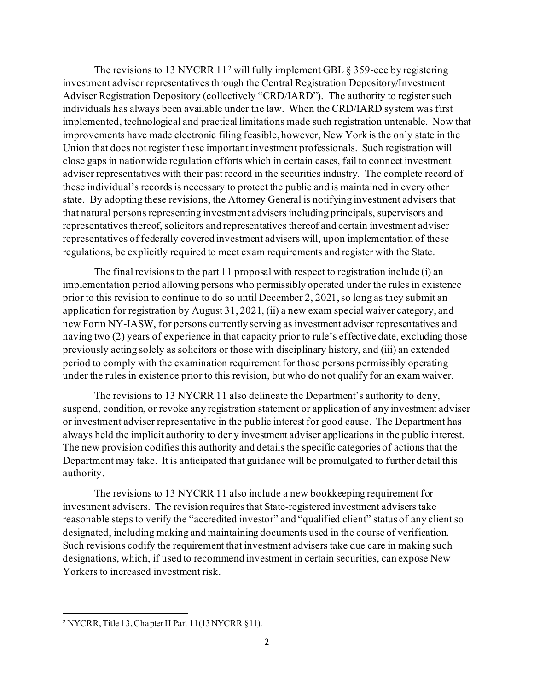The revisions to 13 NYCRR 11<sup>[2](#page-1-0)</sup> will fully implement GBL  $\S$  359-eee by registering investment adviser representatives through the Central Registration Depository/Investment Adviser Registration Depository (collectively "CRD/IARD"). The authority to register such individuals has always been available under the law. When the CRD/IARD system was first implemented, technological and practical limitations made such registration untenable. Now that improvements have made electronic filing feasible, however, New York is the only state in the Union that does not register these important investment professionals. Such registration will close gaps in nationwide regulation efforts which in certain cases, fail to connect investment adviser representatives with their past record in the securities industry. The complete record of these individual's records is necessary to protect the public and is maintained in every other state. By adopting these revisions, the Attorney General is notifying investment advisers that that natural persons representing investment advisers including principals, supervisors and representatives thereof, solicitors and representatives thereof and certain investment adviser representatives of federally covered investment advisers will, upon implementation of these regulations, be explicitly required to meet exam requirements and register with the State.

The final revisions to the part 11 proposal with respect to registration include (i) an implementation period allowing persons who permissibly operated under the rules in existence prior to this revision to continue to do so until December 2, 2021, so long as they submit an application for registration by August 31, 2021, (ii) a new exam special waiver category, and new Form NY-IASW, for persons currently serving as investment adviser representatives and having two (2) years of experience in that capacity prior to rule's effective date, excluding those previously acting solely as solicitors or those with disciplinary history, and (iii) an extended period to comply with the examination requirement for those persons permissibly operating under the rules in existence prior to this revision, but who do not qualify for an exam waiver.

The revisions to 13 NYCRR 11 also delineate the Department's authority to deny, suspend, condition, or revoke any registration statement or application of any investment adviser or investment adviser representative in the public interest for good cause. The Department has always held the implicit authority to deny investment adviser applications in the public interest. The new provision codifies this authority and details the specific categories of actions that the Department may take. It is anticipated that guidance will be promulgated to further detail this authority.

The revisions to 13 NYCRR 11 also include a new bookkeeping requirement for investment advisers. The revision requires that State-registered investment advisers take reasonable steps to verify the "accredited investor" and "qualified client" status of any client so designated, including making and maintaining documents used in the course of verification. Such revisions codify the requirement that investment advisers take due care in making such designations, which, if used to recommend investment in certain securities, can expose New Yorkers to increased investment risk.

<span id="page-1-0"></span><sup>2</sup> NYCRR, Title 13, Chapter II Part 11(13 NYCRR §11).